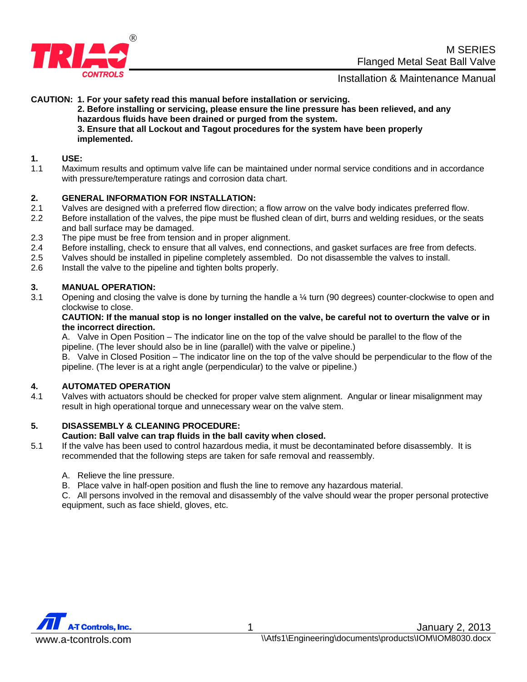

#### **CAUTION: 1. For your safety read this manual before installation or servicing.**

 **2. Before installing or servicing, please ensure the line pressure has been relieved, and any hazardous fluids have been drained or purged from the system. 3. Ensure that all Lockout and Tagout procedures for the system have been properly implemented.** 

#### **1. USE:**

1.1 Maximum results and optimum valve life can be maintained under normal service conditions and in accordance with pressure/temperature ratings and corrosion data chart.

#### **2. GENERAL INFORMATION FOR INSTALLATION:**

- 2.1 Valves are designed with a preferred flow direction; a flow arrow on the valve body indicates preferred flow.
- 2.2 Before installation of the valves, the pipe must be flushed clean of dirt, burrs and welding residues, or the seats and ball surface may be damaged.
- 2.3 The pipe must be free from tension and in proper alignment.
- 2.4 Before installing, check to ensure that all valves, end connections, and gasket surfaces are free from defects.
- 2.5 Valves should be installed in pipeline completely assembled. Do not disassemble the valves to install.<br>2.6 Install the valve to the pipeline and tighten bolts properly.
- Install the valve to the pipeline and tighten bolts properly.

#### **3. MANUAL OPERATION:**

3.1 Opening and closing the valve is done by turning the handle a ¼ turn (90 degrees) counter-clockwise to open and clockwise to close.

#### **CAUTION: If the manual stop is no longer installed on the valve, be careful not to overturn the valve or in the incorrect direction.**

A. Valve in Open Position – The indicator line on the top of the valve should be parallel to the flow of the pipeline. (The lever should also be in line (parallel) with the valve or pipeline.)

B. Valve in Closed Position – The indicator line on the top of the valve should be perpendicular to the flow of the pipeline. (The lever is at a right angle (perpendicular) to the valve or pipeline.)

#### **4. AUTOMATED OPERATION**

4.1 Valves with actuators should be checked for proper valve stem alignment. Angular or linear misalignment may result in high operational torque and unnecessary wear on the valve stem.

#### **5. DISASSEMBLY & CLEANING PROCEDURE:**

#### **Caution: Ball valve can trap fluids in the ball cavity when closed.**

- 5.1 If the valve has been used to control hazardous media, it must be decontaminated before disassembly. It is recommended that the following steps are taken for safe removal and reassembly.
	- A. Relieve the line pressure.
	- B. Place valve in half-open position and flush the line to remove any hazardous material.

C. All persons involved in the removal and disassembly of the valve should wear the proper personal protective equipment, such as face shield, gloves, etc.

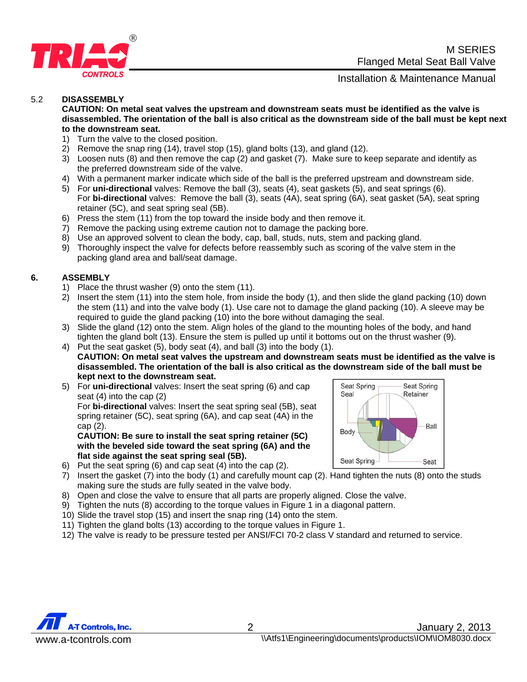



#### 5.2 **DISASSEMBLY**

**CAUTION: On metal seat valves the upstream and downstream seats must be identified as the valve is disassembled. The orientation of the ball is also critical as the downstream side of the ball must be kept next to the downstream seat.**

- 1) Turn the valve to the closed position.
- 2) Remove the snap ring (14), travel stop (15), gland bolts (13), and gland (12).
- 3) Loosen nuts (8) and then remove the cap (2) and gasket (7). Make sure to keep separate and identify as the preferred downstream side of the valve.
- 4) With a permanent marker indicate which side of the ball is the preferred upstream and downstream side.
- 5) For **uni-directional** valves: Remove the ball (3), seats (4), seat gaskets (5), and seat springs (6). For **bi-directional** valves: Remove the ball (3), seats (4A), seat spring (6A), seat gasket (5A), seat spring retainer (5C), and seat spring seal (5B).
- 6) Press the stem (11) from the top toward the inside body and then remove it.
- 7) Remove the packing using extreme caution not to damage the packing bore.
- 8) Use an approved solvent to clean the body, cap, ball, studs, nuts, stem and packing gland.
- 9) Thoroughly inspect the valve for defects before reassembly such as scoring of the valve stem in the packing gland area and ball/seat damage.

#### **6. ASSEMBLY**

- 1) Place the thrust washer (9) onto the stem (11).
- 2) Insert the stem (11) into the stem hole, from inside the body (1), and then slide the gland packing (10) down the stem (11) and into the valve body (1). Use care not to damage the gland packing (10). A sleeve may be required to guide the gland packing (10) into the bore without damaging the seal.
- 3) Slide the gland (12) onto the stem. Align holes of the gland to the mounting holes of the body, and hand tighten the gland bolt (13). Ensure the stem is pulled up until it bottoms out on the thrust washer (9).
- 4) Put the seat gasket (5), body seat (4), and ball (3) into the body (1). **CAUTION: On metal seat valves the upstream and downstream seats must be identified as the valve is disassembled. The orientation of the ball is also critical as the downstream side of the ball must be kept next to the downstream seat.**
- 5) For **uni-directional** valves: Insert the seat spring (6) and cap seat (4) into the cap (2)

For **bi-directional** valves: Insert the seat spring seal (5B), seat spring retainer (5C), seat spring (6A), and cap seat (4A) in the cap (2).

**CAUTION: Be sure to install the seat spring retainer (5C) with the beveled side toward the seat spring (6A) and the flat side against the seat spring seal (5B).** 



- 6) Put the seat spring (6) and cap seat (4) into the cap (2).
- 7) Insert the gasket (7) into the body (1) and carefully mount cap (2). Hand tighten the nuts (8) onto the studs making sure the studs are fully seated in the valve body.
- 8) Open and close the valve to ensure that all parts are properly aligned. Close the valve.
- 9) Tighten the nuts (8) according to the torque values in Figure 1 in a diagonal pattern.
- 10) Slide the travel stop (15) and insert the snap ring (14) onto the stem.
- 11) Tighten the gland bolts (13) according to the torque values in Figure 1.
- 12) The valve is ready to be pressure tested per ANSI/FCI 70-2 class V standard and returned to service.

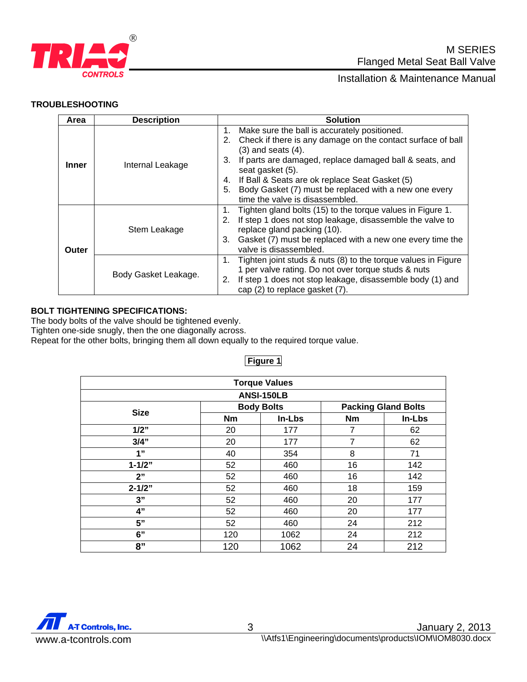

#### **TROUBLESHOOTING**

| Area         | <b>Description</b>   | <b>Solution</b>                                                                                                                                                                                                                                                 |  |  |
|--------------|----------------------|-----------------------------------------------------------------------------------------------------------------------------------------------------------------------------------------------------------------------------------------------------------------|--|--|
| Inner        | Internal Leakage     | Make sure the ball is accurately positioned.<br>1.<br>Check if there is any damage on the contact surface of ball<br>2.<br>$(3)$ and seats $(4)$ .<br>If parts are damaged, replace damaged ball & seats, and<br>3.                                             |  |  |
|              |                      | seat gasket (5).<br>If Ball & Seats are ok replace Seat Gasket (5)<br>4.<br>Body Gasket (7) must be replaced with a new one every<br>5.<br>time the valve is disassembled.                                                                                      |  |  |
| <b>Outer</b> | Stem Leakage         | Tighten gland bolts (15) to the torque values in Figure 1.<br>1.<br>If step 1 does not stop leakage, disassemble the valve to<br>2.<br>replace gland packing (10).<br>Gasket (7) must be replaced with a new one every time the<br>3.<br>valve is disassembled. |  |  |
|              | Body Gasket Leakage. | Tighten joint studs & nuts (8) to the torque values in Figure<br>1.<br>1 per valve rating. Do not over torque studs & nuts<br>If step 1 does not stop leakage, disassemble body (1) and<br>2.<br>cap (2) to replace gasket (7).                                 |  |  |

#### **BOLT TIGHTENING SPECIFICATIONS:**

The body bolts of the valve should be tightened evenly.

Tighten one-side snugly, then the one diagonally across.

Repeat for the other bolts, bringing them all down equally to the required torque value.

| <b>Torque Values</b> |                   |        |                            |        |  |  |  |  |
|----------------------|-------------------|--------|----------------------------|--------|--|--|--|--|
| <b>ANSI-150LB</b>    |                   |        |                            |        |  |  |  |  |
| <b>Size</b>          | <b>Body Bolts</b> |        | <b>Packing Gland Bolts</b> |        |  |  |  |  |
|                      | <b>Nm</b>         | In-Lbs | <b>Nm</b>                  | In-Lbs |  |  |  |  |
| 1/2"                 | 20                | 177    | 7                          | 62     |  |  |  |  |
| $3/4$ "              | 20                | 177    | $\overline{7}$             | 62     |  |  |  |  |
| 1"                   | 40                | 354    | 8                          | 71     |  |  |  |  |
| $1 - 1/2"$           | 52                | 460    | 16                         | 142    |  |  |  |  |
| 2"                   | 52                | 460    | 16                         | 142    |  |  |  |  |
| $2 - 1/2"$           | 52                | 460    | 18                         | 159    |  |  |  |  |
| 3"                   | 52                | 460    | 20                         | 177    |  |  |  |  |
| 4"                   | 52                | 460    | 20                         | 177    |  |  |  |  |
| 5"                   | 52                | 460    | 24                         | 212    |  |  |  |  |
| 6"                   | 120               | 1062   | 24                         | 212    |  |  |  |  |
| 8"                   | 120               | 1062   | 24                         | 212    |  |  |  |  |

#### **Figure 1**

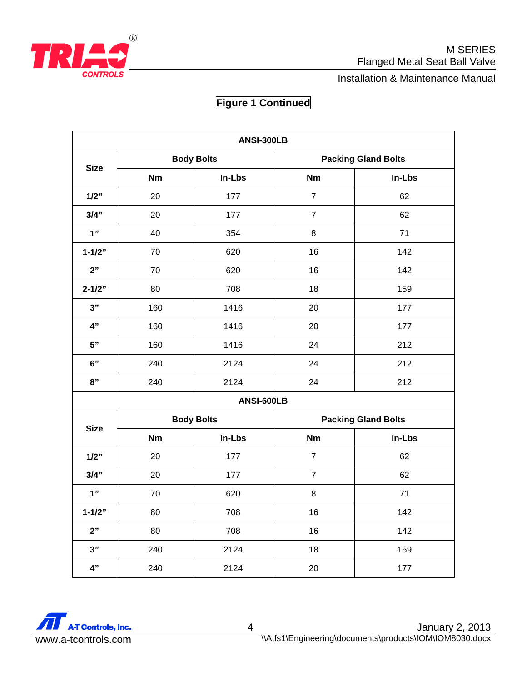

## **CONTROLS CONTROLS**

## **Figure 1 Continued**

| ANSI-300LB  |                   |            |                            |        |  |  |
|-------------|-------------------|------------|----------------------------|--------|--|--|
|             | <b>Body Bolts</b> |            | <b>Packing Gland Bolts</b> |        |  |  |
| <b>Size</b> | <b>Nm</b>         | In-Lbs     | <b>Nm</b>                  | In-Lbs |  |  |
| 1/2"        | 20                | 177        | $\overline{7}$             | 62     |  |  |
| 3/4"        | 20                | 177        | $\overline{7}$             | 62     |  |  |
| 1"          | 40                | 354        | 8                          | 71     |  |  |
| $1 - 1/2"$  | 70                | 620        | 16                         | 142    |  |  |
| 2"          | 70                | 620        | 16                         | 142    |  |  |
| $2 - 1/2"$  | 80                | 708        | 18                         | 159    |  |  |
| 3"          | 160               | 1416       | 20                         | 177    |  |  |
| 4"          | 160               | 1416       | 20                         | 177    |  |  |
| 5"          | 160               | 1416       | 24                         | 212    |  |  |
| 6"          | 240               | 2124       | 24                         | 212    |  |  |
| 8"          | 240               | 2124       | 24                         | 212    |  |  |
|             |                   | ANSI-600LB |                            |        |  |  |
| <b>Size</b> | <b>Body Bolts</b> |            | <b>Packing Gland Bolts</b> |        |  |  |
|             | Nm                | In-Lbs     | <b>Nm</b>                  | In-Lbs |  |  |
| 1/2"        | 20                | 177        | $\overline{7}$             | 62     |  |  |
| 3/4"        | 20                | 177        | $\overline{7}$             | 62     |  |  |
| 1"          | 70                | 620        | 8                          | 71     |  |  |
| $1 - 1/2"$  | 80                | 708        | 16                         | 142    |  |  |
| 2"          | 80                | 708        | 16                         | 142    |  |  |
| 3"          | 240               | 2124       | 18                         | 159    |  |  |
| 4"          | 240               | 2124       | 20                         | 177    |  |  |

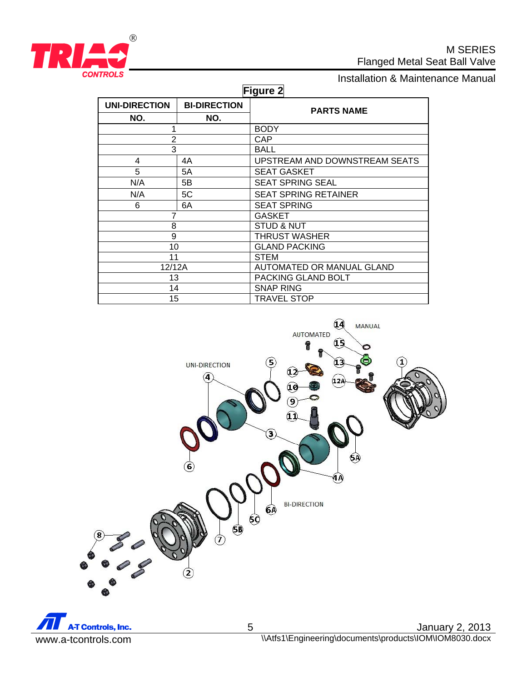

# **CONTROLS**<br> **Installation & Maintenance Manual**

| Figure 2             |                     |                               |  |  |  |  |
|----------------------|---------------------|-------------------------------|--|--|--|--|
| <b>UNI-DIRECTION</b> | <b>BI-DIRECTION</b> | <b>PARTS NAME</b>             |  |  |  |  |
| NO.                  | NO.                 |                               |  |  |  |  |
|                      |                     | <b>BODY</b>                   |  |  |  |  |
| $\overline{2}$       |                     | CAP                           |  |  |  |  |
| 3                    |                     | BALL                          |  |  |  |  |
| 4                    | 4A                  | UPSTREAM AND DOWNSTREAM SEATS |  |  |  |  |
| 5                    | 5A                  | <b>SEAT GASKET</b>            |  |  |  |  |
| N/A                  | 5B                  | <b>SEAT SPRING SEAL</b>       |  |  |  |  |
| N/A                  | 5C                  | <b>SEAT SPRING RETAINER</b>   |  |  |  |  |
| 6                    | 6A                  | <b>SEAT SPRING</b>            |  |  |  |  |
|                      |                     | <b>GASKET</b>                 |  |  |  |  |
| 8                    |                     | <b>STUD &amp; NUT</b>         |  |  |  |  |
| 9                    |                     | <b>THRUST WASHER</b>          |  |  |  |  |
| 10                   |                     | <b>GLAND PACKING</b>          |  |  |  |  |
| 11                   |                     | <b>STEM</b>                   |  |  |  |  |
| 12/12A               |                     | AUTOMATED OR MANUAL GLAND     |  |  |  |  |
| 13                   |                     | PACKING GLAND BOLT            |  |  |  |  |
| 14                   |                     | <b>SNAP RING</b>              |  |  |  |  |
| 15                   |                     | <b>TRAVEL STOP</b>            |  |  |  |  |